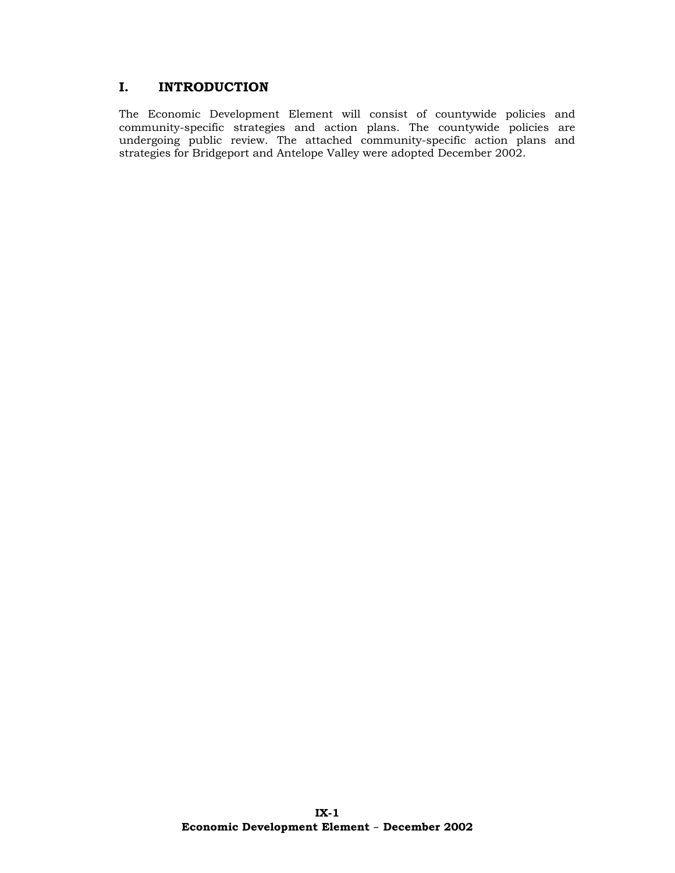# **I. INTRODUCTION**

The Economic Development Element will consist of countywide policies and community-specific strategies and action plans. The countywide policies are undergoing public review. The attached community-specific action plans and strategies for Bridgeport and Antelope Valley were adopted December 2002.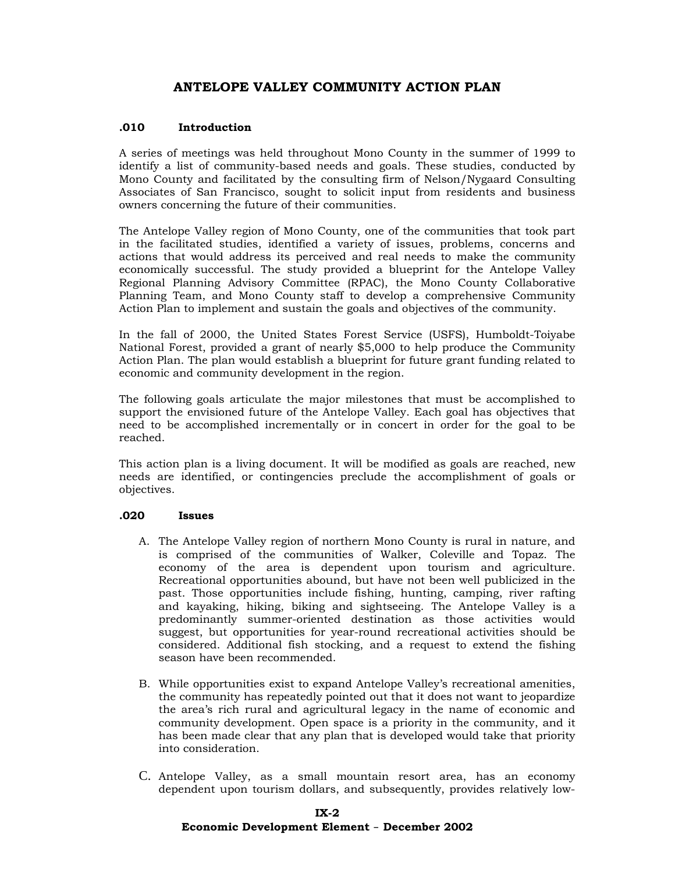# **ANTELOPE VALLEY COMMUNITY ACTION PLAN**

### **.010 Introduction**

A series of meetings was held throughout Mono County in the summer of 1999 to identify a list of community-based needs and goals. These studies, conducted by Mono County and facilitated by the consulting firm of Nelson/Nygaard Consulting Associates of San Francisco, sought to solicit input from residents and business owners concerning the future of their communities.

The Antelope Valley region of Mono County, one of the communities that took part in the facilitated studies, identified a variety of issues, problems, concerns and actions that would address its perceived and real needs to make the community economically successful. The study provided a blueprint for the Antelope Valley Regional Planning Advisory Committee (RPAC), the Mono County Collaborative Planning Team, and Mono County staff to develop a comprehensive Community Action Plan to implement and sustain the goals and objectives of the community.

In the fall of 2000, the United States Forest Service (USFS), Humboldt-Toiyabe National Forest, provided a grant of nearly \$5,000 to help produce the Community Action Plan. The plan would establish a blueprint for future grant funding related to economic and community development in the region.

The following goals articulate the major milestones that must be accomplished to support the envisioned future of the Antelope Valley. Each goal has objectives that need to be accomplished incrementally or in concert in order for the goal to be reached.

This action plan is a living document. It will be modified as goals are reached, new needs are identified, or contingencies preclude the accomplishment of goals or objectives.

### **.020 Issues**

- A. The Antelope Valley region of northern Mono County is rural in nature, and is comprised of the communities of Walker, Coleville and Topaz. The economy of the area is dependent upon tourism and agriculture. Recreational opportunities abound, but have not been well publicized in the past. Those opportunities include fishing, hunting, camping, river rafting and kayaking, hiking, biking and sightseeing. The Antelope Valley is a predominantly summer-oriented destination as those activities would suggest, but opportunities for year-round recreational activities should be considered. Additional fish stocking, and a request to extend the fishing season have been recommended.
- B. While opportunities exist to expand Antelope Valley's recreational amenities, the community has repeatedly pointed out that it does not want to jeopardize the area's rich rural and agricultural legacy in the name of economic and community development. Open space is a priority in the community, and it has been made clear that any plan that is developed would take that priority into consideration.
- C. Antelope Valley, as a small mountain resort area, has an economy dependent upon tourism dollars, and subsequently, provides relatively low-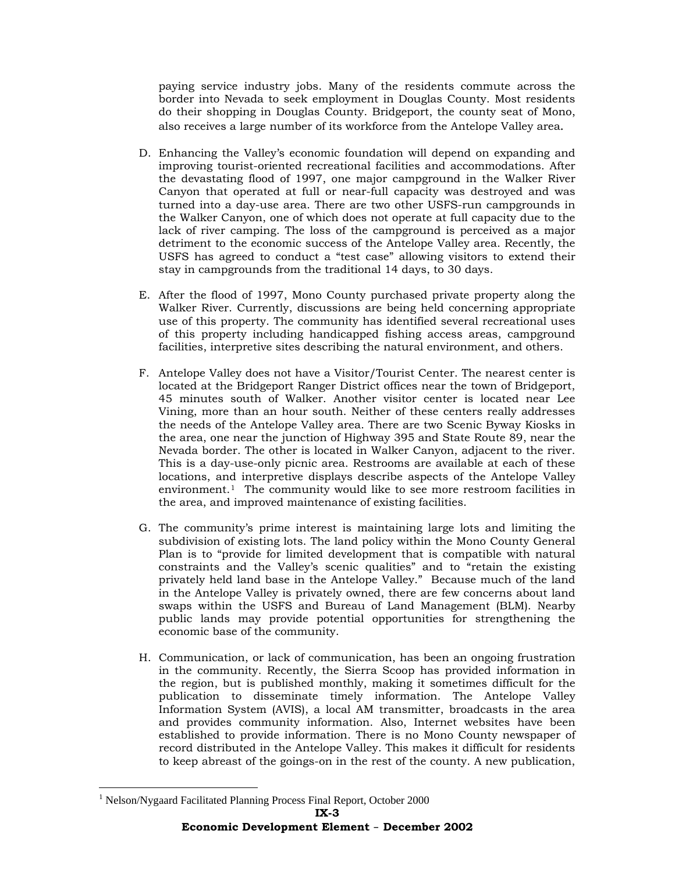paying service industry jobs. Many of the residents commute across the border into Nevada to seek employment in Douglas County. Most residents do their shopping in Douglas County. Bridgeport, the county seat of Mono, also receives a large number of its workforce from the Antelope Valley area.

- D. Enhancing the Valley's economic foundation will depend on expanding and improving tourist-oriented recreational facilities and accommodations. After the devastating flood of 1997, one major campground in the Walker River Canyon that operated at full or near-full capacity was destroyed and was turned into a day-use area. There are two other USFS-run campgrounds in the Walker Canyon, one of which does not operate at full capacity due to the lack of river camping. The loss of the campground is perceived as a major detriment to the economic success of the Antelope Valley area. Recently, the USFS has agreed to conduct a "test case" allowing visitors to extend their stay in campgrounds from the traditional 14 days, to 30 days.
- E. After the flood of 1997, Mono County purchased private property along the Walker River. Currently, discussions are being held concerning appropriate use of this property. The community has identified several recreational uses of this property including handicapped fishing access areas, campground facilities, interpretive sites describing the natural environment, and others.
- F. Antelope Valley does not have a Visitor/Tourist Center. The nearest center is located at the Bridgeport Ranger District offices near the town of Bridgeport, 45 minutes south of Walker. Another visitor center is located near Lee Vining, more than an hour south. Neither of these centers really addresses the needs of the Antelope Valley area. There are two Scenic Byway Kiosks in the area, one near the junction of Highway 395 and State Route 89, near the Nevada border. The other is located in Walker Canyon, adjacent to the river. This is a day-use-only picnic area. Restrooms are available at each of these locations, and interpretive displays describe aspects of the Antelope Valley environment.[1](#page-2-0) The community would like to see more restroom facilities in the area, and improved maintenance of existing facilities.
- G. The community's prime interest is maintaining large lots and limiting the subdivision of existing lots. The land policy within the Mono County General Plan is to "provide for limited development that is compatible with natural constraints and the Valley's scenic qualities" and to "retain the existing privately held land base in the Antelope Valley." Because much of the land in the Antelope Valley is privately owned, there are few concerns about land swaps within the USFS and Bureau of Land Management (BLM). Nearby public lands may provide potential opportunities for strengthening the economic base of the community.
- H. Communication, or lack of communication, has been an ongoing frustration in the community. Recently, the Sierra Scoop has provided information in the region, but is published monthly, making it sometimes difficult for the publication to disseminate timely information. The Antelope Valley Information System (AVIS), a local AM transmitter, broadcasts in the area and provides community information. Also, Internet websites have been established to provide information. There is no Mono County newspaper of record distributed in the Antelope Valley. This makes it difficult for residents to keep abreast of the goings-on in the rest of the county. A new publication,

<span id="page-2-0"></span><sup>&</sup>lt;u>.</u> <sup>1</sup> Nelson/Nygaard Facilitated Planning Process Final Report, October 2000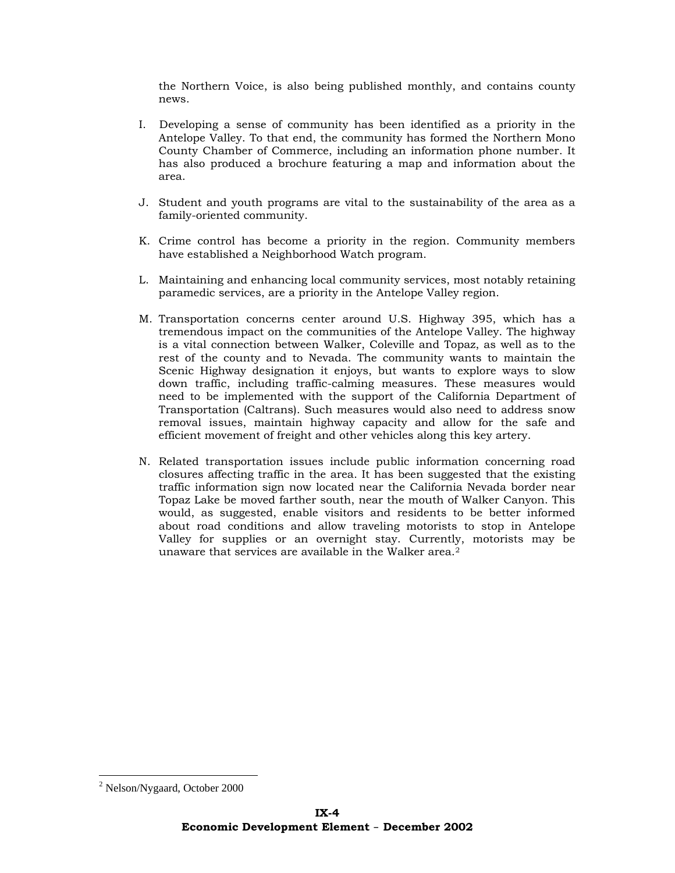the Northern Voice, is also being published monthly, and contains county news.

- I. Developing a sense of community has been identified as a priority in the Antelope Valley. To that end, the community has formed the Northern Mono County Chamber of Commerce, including an information phone number. It has also produced a brochure featuring a map and information about the area.
- J. Student and youth programs are vital to the sustainability of the area as a family-oriented community.
- K. Crime control has become a priority in the region. Community members have established a Neighborhood Watch program.
- L. Maintaining and enhancing local community services, most notably retaining paramedic services, are a priority in the Antelope Valley region.
- M. Transportation concerns center around U.S. Highway 395, which has a tremendous impact on the communities of the Antelope Valley. The highway is a vital connection between Walker, Coleville and Topaz, as well as to the rest of the county and to Nevada. The community wants to maintain the Scenic Highway designation it enjoys, but wants to explore ways to slow down traffic, including traffic-calming measures. These measures would need to be implemented with the support of the California Department of Transportation (Caltrans). Such measures would also need to address snow removal issues, maintain highway capacity and allow for the safe and efficient movement of freight and other vehicles along this key artery.
- N. Related transportation issues include public information concerning road closures affecting traffic in the area. It has been suggested that the existing traffic information sign now located near the California Nevada border near Topaz Lake be moved farther south, near the mouth of Walker Canyon. This would, as suggested, enable visitors and residents to be better informed about road conditions and allow traveling motorists to stop in Antelope Valley for supplies or an overnight stay. Currently, motorists may be unaware that services are available in the Walker area.<sup>[2](#page-3-0)</sup>

1

<span id="page-3-0"></span><sup>&</sup>lt;sup>2</sup> Nelson/Nygaard, October 2000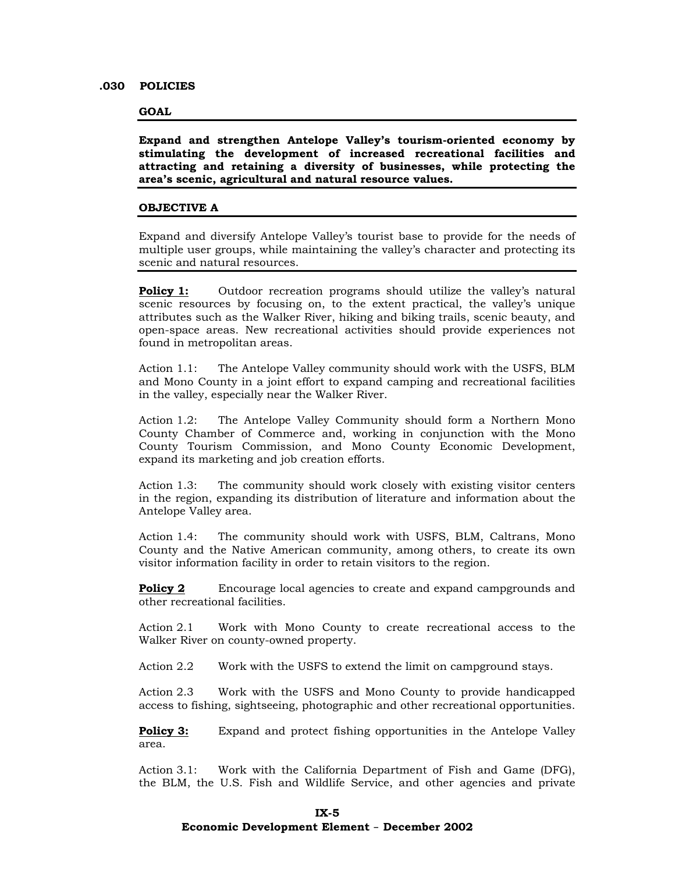#### **.030 POLICIES**

#### **GOAL**

**Expand and strengthen Antelope Valley's tourism-oriented economy by stimulating the development of increased recreational facilities and attracting and retaining a diversity of businesses, while protecting the area's scenic, agricultural and natural resource values.** 

#### **OBJECTIVE A**

Expand and diversify Antelope Valley's tourist base to provide for the needs of multiple user groups, while maintaining the valley's character and protecting its scenic and natural resources.

**Policy 1:** Outdoor recreation programs should utilize the valley's natural scenic resources by focusing on, to the extent practical, the valley's unique attributes such as the Walker River, hiking and biking trails, scenic beauty, and open-space areas. New recreational activities should provide experiences not found in metropolitan areas.

Action 1.1: The Antelope Valley community should work with the USFS, BLM and Mono County in a joint effort to expand camping and recreational facilities in the valley, especially near the Walker River.

Action 1.2: The Antelope Valley Community should form a Northern Mono County Chamber of Commerce and, working in conjunction with the Mono County Tourism Commission, and Mono County Economic Development, expand its marketing and job creation efforts.

Action 1.3: The community should work closely with existing visitor centers in the region, expanding its distribution of literature and information about the Antelope Valley area.

Action 1.4: The community should work with USFS, BLM, Caltrans, Mono County and the Native American community, among others, to create its own visitor information facility in order to retain visitors to the region.

**Policy 2** Encourage local agencies to create and expand campgrounds and other recreational facilities.

Action 2.1 Work with Mono County to create recreational access to the Walker River on county-owned property.

Action 2.2 Work with the USFS to extend the limit on campground stays.

Action 2.3 Work with the USFS and Mono County to provide handicapped access to fishing, sightseeing, photographic and other recreational opportunities.

**Policy 3:** Expand and protect fishing opportunities in the Antelope Valley area.

Action 3.1: Work with the California Department of Fish and Game (DFG), the BLM, the U.S. Fish and Wildlife Service, and other agencies and private

#### **Economic Development Element** – **December 2002**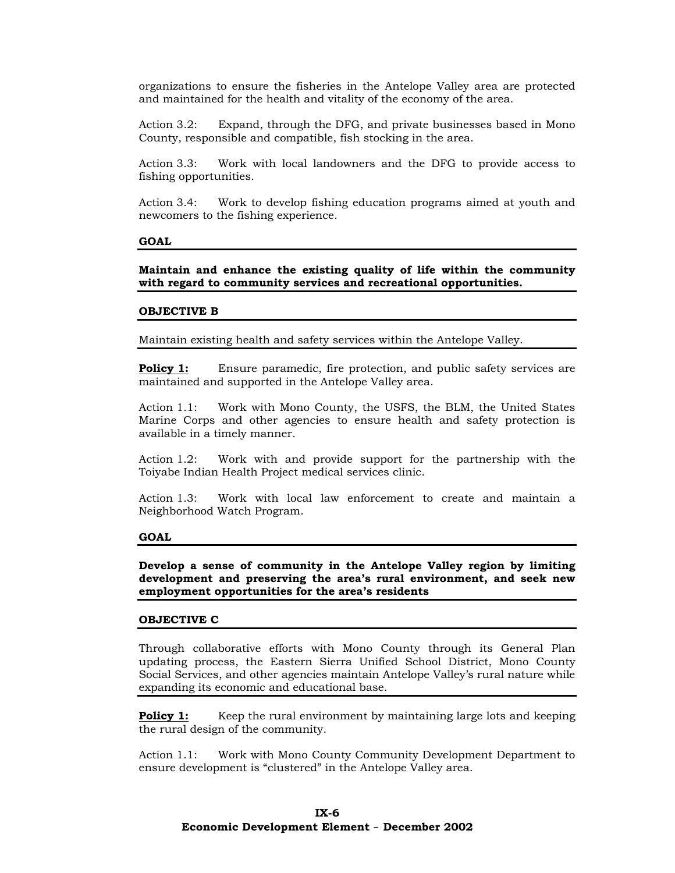organizations to ensure the fisheries in the Antelope Valley area are protected and maintained for the health and vitality of the economy of the area.

Action 3.2: Expand, through the DFG, and private businesses based in Mono County, responsible and compatible, fish stocking in the area.

Action 3.3: Work with local landowners and the DFG to provide access to fishing opportunities.

Action 3.4: Work to develop fishing education programs aimed at youth and newcomers to the fishing experience.

#### **GOAL**

**Maintain and enhance the existing quality of life within the community with regard to community services and recreational opportunities.** 

#### **OBJECTIVE B**

Maintain existing health and safety services within the Antelope Valley.

**Policy 1:** Ensure paramedic, fire protection, and public safety services are maintained and supported in the Antelope Valley area.

Action 1.1: Work with Mono County, the USFS, the BLM, the United States Marine Corps and other agencies to ensure health and safety protection is available in a timely manner.

Action 1.2: Work with and provide support for the partnership with the Toiyabe Indian Health Project medical services clinic.

Action 1.3: Work with local law enforcement to create and maintain a Neighborhood Watch Program.

#### **GOAL**

**Develop a sense of community in the Antelope Valley region by limiting development and preserving the area's rural environment, and seek new employment opportunities for the area's residents** 

#### **OBJECTIVE C**

Through collaborative efforts with Mono County through its General Plan updating process, the Eastern Sierra Unified School District, Mono County Social Services, and other agencies maintain Antelope Valley's rural nature while expanding its economic and educational base.

**Policy 1:** Keep the rural environment by maintaining large lots and keeping the rural design of the community.

Action 1.1: Work with Mono County Community Development Department to ensure development is "clustered" in the Antelope Valley area.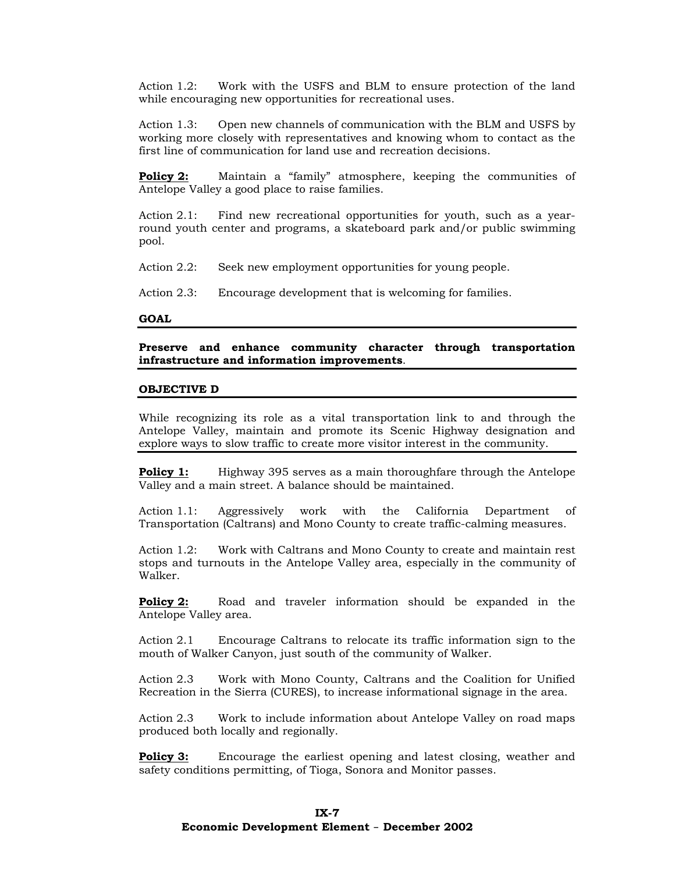Action 1.2: Work with the USFS and BLM to ensure protection of the land while encouraging new opportunities for recreational uses.

Action 1.3: Open new channels of communication with the BLM and USFS by working more closely with representatives and knowing whom to contact as the first line of communication for land use and recreation decisions.

**Policy 2:** Maintain a "family" atmosphere, keeping the communities of Antelope Valley a good place to raise families.

Action 2.1: Find new recreational opportunities for youth, such as a yearround youth center and programs, a skateboard park and/or public swimming pool.

Action 2.2: Seek new employment opportunities for young people.

Action 2.3: Encourage development that is welcoming for families.

#### **GOAL**

**Preserve and enhance community character through transportation infrastructure and information improvements**.

#### **OBJECTIVE D**

While recognizing its role as a vital transportation link to and through the Antelope Valley, maintain and promote its Scenic Highway designation and explore ways to slow traffic to create more visitor interest in the community.

**Policy 1:** Highway 395 serves as a main thoroughfare through the Antelope Valley and a main street. A balance should be maintained.

Action 1.1: Aggressively work with the California Department of Transportation (Caltrans) and Mono County to create traffic-calming measures.

Action 1.2: Work with Caltrans and Mono County to create and maintain rest stops and turnouts in the Antelope Valley area, especially in the community of Walker.

**Policy 2:** Road and traveler information should be expanded in the Antelope Valley area.

Action 2.1 Encourage Caltrans to relocate its traffic information sign to the mouth of Walker Canyon, just south of the community of Walker.

Action 2.3 Work with Mono County, Caltrans and the Coalition for Unified Recreation in the Sierra (CURES), to increase informational signage in the area.

Action 2.3 Work to include information about Antelope Valley on road maps produced both locally and regionally.

**Policy 3:** Encourage the earliest opening and latest closing, weather and safety conditions permitting, of Tioga, Sonora and Monitor passes.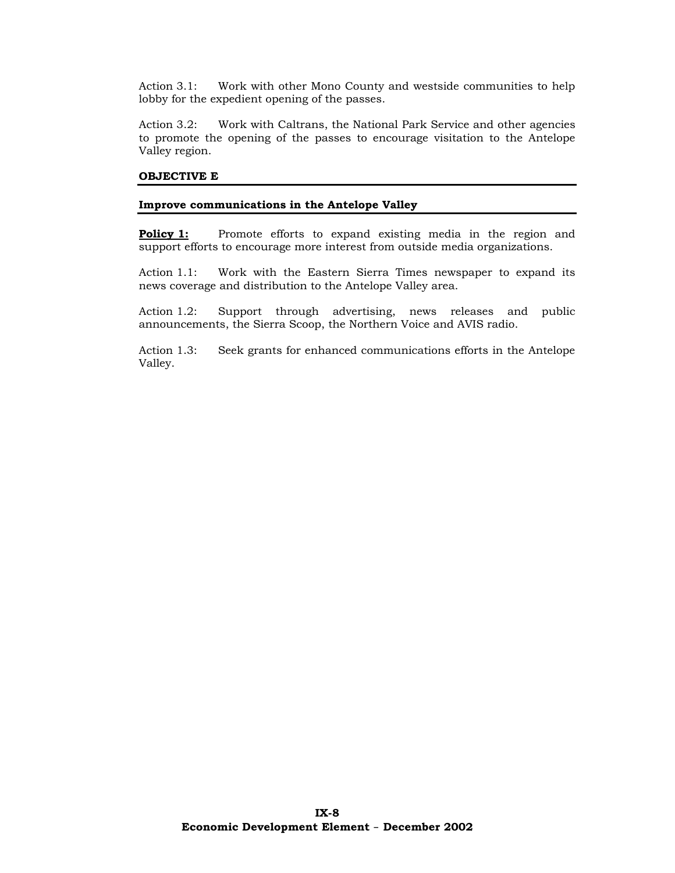Action 3.1: Work with other Mono County and westside communities to help lobby for the expedient opening of the passes.

Action 3.2: Work with Caltrans, the National Park Service and other agencies to promote the opening of the passes to encourage visitation to the Antelope Valley region.

## **OBJECTIVE E**

## **Improve communications in the Antelope Valley**

**Policy 1:** Promote efforts to expand existing media in the region and support efforts to encourage more interest from outside media organizations.

Action 1.1: Work with the Eastern Sierra Times newspaper to expand its news coverage and distribution to the Antelope Valley area.

Action 1.2: Support through advertising, news releases and public announcements, the Sierra Scoop, the Northern Voice and AVIS radio.

Action 1.3: Seek grants for enhanced communications efforts in the Antelope Valley.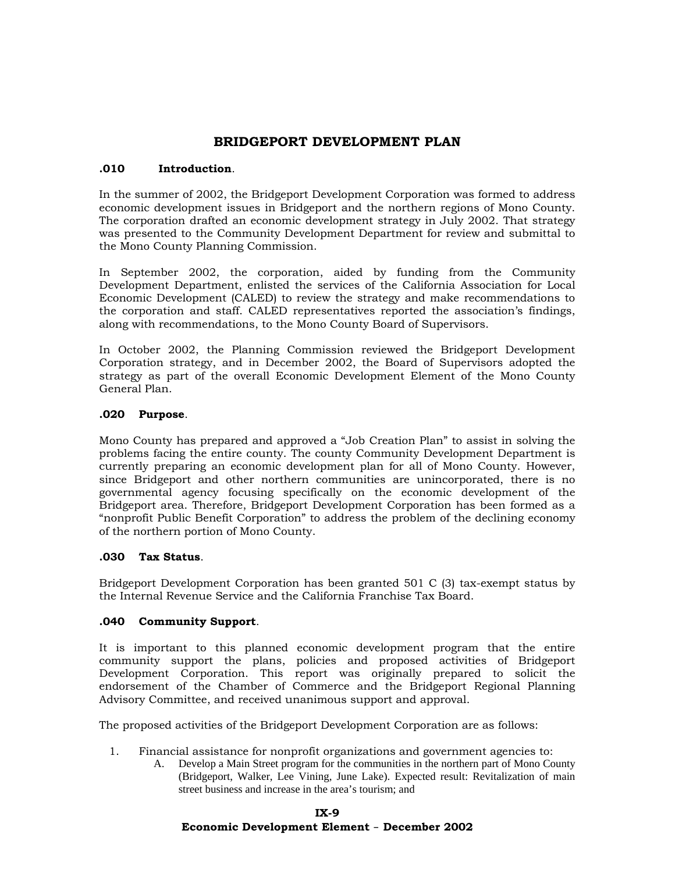# **BRIDGEPORT DEVELOPMENT PLAN**

# **.010 Introduction**.

In the summer of 2002, the Bridgeport Development Corporation was formed to address economic development issues in Bridgeport and the northern regions of Mono County. The corporation drafted an economic development strategy in July 2002. That strategy was presented to the Community Development Department for review and submittal to the Mono County Planning Commission.

In September 2002, the corporation, aided by funding from the Community Development Department, enlisted the services of the California Association for Local Economic Development (CALED) to review the strategy and make recommendations to the corporation and staff. CALED representatives reported the association's findings, along with recommendations, to the Mono County Board of Supervisors.

In October 2002, the Planning Commission reviewed the Bridgeport Development Corporation strategy, and in December 2002, the Board of Supervisors adopted the strategy as part of the overall Economic Development Element of the Mono County General Plan.

## **.020 Purpose**.

Mono County has prepared and approved a "Job Creation Plan" to assist in solving the problems facing the entire county. The county Community Development Department is currently preparing an economic development plan for all of Mono County. However, since Bridgeport and other northern communities are unincorporated, there is no governmental agency focusing specifically on the economic development of the Bridgeport area. Therefore, Bridgeport Development Corporation has been formed as a "nonprofit Public Benefit Corporation" to address the problem of the declining economy of the northern portion of Mono County.

### **.030 Tax Status**.

Bridgeport Development Corporation has been granted 501 C (3) tax-exempt status by the Internal Revenue Service and the California Franchise Tax Board.

# **.040 Community Support**.

It is important to this planned economic development program that the entire community support the plans, policies and proposed activities of Bridgeport Development Corporation. This report was originally prepared to solicit the endorsement of the Chamber of Commerce and the Bridgeport Regional Planning Advisory Committee, and received unanimous support and approval.

The proposed activities of the Bridgeport Development Corporation are as follows:

- 1. Financial assistance for nonprofit organizations and government agencies to:
	- A. Develop a Main Street program for the communities in the northern part of Mono County (Bridgeport, Walker, Lee Vining, June Lake). Expected result: Revitalization of main street business and increase in the area's tourism; and

# **IX-9 Economic Development Element** – **December 2002**